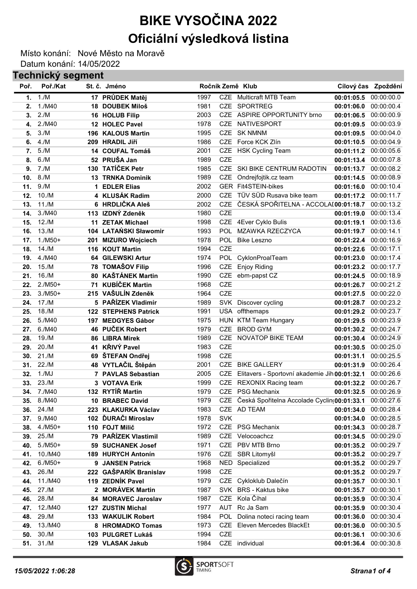## BIKE VYSOČINA 2022 Oficiální výsledková listina

Místo konání: Nové Město na Moravě Datum konání: 14/05/2022

## Technický segment

| Poř. | Poř./Kat  |     | St. č. Jméno                |      |            | Ročník Země Klub                                |                       | Cílový čas Zpoždění |
|------|-----------|-----|-----------------------------|------|------------|-------------------------------------------------|-----------------------|---------------------|
| 1.   | 1./M      |     | 17 PRŮDEK Matěj             | 1997 |            | <b>CZE</b> Multicraft MTB Team                  | 00:01:05.5            | 00:00:00.0          |
| 2.   | 1./M40    |     | 18 DOUBEK Miloš             | 1981 |            | CZE SPORTREG                                    | 00:01:06.0            | 00:00:00.4          |
| 3.   | 2./M      |     | 16 HOLUB Filip              | 2003 |            | CZE ASPIRE OPPORTUNITY brno                     | 00:01:06.5            | 00:00:00.9          |
| 4.   | 2./M40    |     | 12 HOLEC Pavel              | 1978 | <b>CZE</b> | NATIVESPORT                                     | 00:01:09.5            | 00:00:03.9          |
| 5.   | 3./M      | 196 | <b>KALOUS Martin</b>        | 1995 |            | CZE SK NMNM                                     | 00:01:09.5            | 00:00:04.0          |
| 6.   | 4./M      | 209 | <b>HRADIL Jiří</b>          | 1986 | <b>CZE</b> | Force KCK Zlín                                  | 00:01:10.5            | 00:00:04.9          |
| 7.   | 5./M      | 14  | <b>COUFAL Tomáš</b>         | 2001 |            | CZE HSK Cycling Team                            | 00:01:11.2            | 00:00:05.6          |
| 8.   | 6./M      |     | 52 PRUŠA Jan                | 1989 | <b>CZE</b> |                                                 | 00:01:13.4            | 00:00:07.8          |
| 9.   | 7./M      |     | 130 TATÍČEK Petr            | 1985 |            | CZE SKI BIKE CENTRUM RADOTIN                    | 00:01:13.7            | 00:00:08.2          |
| 10.  | 8./M      |     | <b>13 TRNKA Dominik</b>     | 1989 | <b>CZE</b> | Ondrejfojtik.cz team                            | 00:01:14.5            | 00:00:08.9          |
| 11.  | 9./M      |     | <b>EDLER Elias</b>          | 2002 |            | <b>GER Fit4STEIN-bikes</b>                      | 00:01:16.0            | 00:00:10.4          |
| 12.  | 10./M     |     | 4 KLUSÁK Radim              | 2000 | <b>CZE</b> | TÜV SÜD Rusava bike team                        | 00:01:17.2            | 00:00:11.7          |
| 13.  | 11./M     |     | 6 HRDLIČKA Aleš             | 2002 |            | CZE ČESKÁ SPOŘITELNA - ACCOLAI00:01:18.7        |                       | 00:00:13.2          |
| 14.  | 3./M40    |     | 113 IZDNÝ Zdeněk            | 1980 | <b>CZE</b> |                                                 | 00:01:19.0            | 00:00:13.4          |
| 15.  | 12./M     | 11  | <b>ZETAK Michael</b>        | 1998 |            | CZE 4Ever Cyklo Bulis                           | 00:01:19.1            | 00:00:13.6          |
| 16.  | 13./M     |     | 104 LATAŃSKI Sławomir       | 1993 | <b>POL</b> | MZAWKA RZECZYCA                                 | 00:01:19.7            | 00:00:14.1          |
| 17.  | $1./M50+$ | 201 | <b>MIZURO Wojciech</b>      | 1978 |            | POL Bike Leszno                                 | 00:01:22.4            | 00:00:16.9          |
| 18.  | 14./M     | 116 | <b>KOUT Martin</b>          | 1994 | <b>CZE</b> |                                                 | 00:01:22.6            | 00:00:17.1          |
| 19.  | 4./M40    | 64  | <b>GILEWSKI Artur</b>       | 1974 | <b>POL</b> | CyklonProalTeam                                 | 00:01:23.0            | 00:00:17.4          |
| 20.  | 15./M     | 78  | <b>TOMAŠOV Filip</b>        | 1996 | <b>CZE</b> | <b>Enjoy Riding</b>                             | 00:01:23.2            | 00:00:17.7          |
| 21.  | 16./M     | 80  | <b>KAŠTÁNEK Martin</b>      | 1990 | <b>CZE</b> | ebm-papst CZ                                    | 00:01:24.5            | 00:00:18.9          |
| 22.  | $2./M50+$ | 71  | <b>KUBÍČEK Martin</b>       | 1968 | <b>CZE</b> |                                                 | 00:01:26.7            | 00:00:21.2          |
| 23.  | $3./M50+$ | 215 | VAŠULÍN Zdeněk              | 1964 | <b>CZE</b> |                                                 | 00:01:27.5            | 00:00:22.0          |
| 24.  | 17./M     |     | 5 PAŘÍZEK Vladimír          | 1989 |            | SVK Discover cycling                            | 00:01:28.7            | 00:00:23.2          |
| 25.  | 18./M     |     | <b>122 STEPHENS Patrick</b> | 1991 |            | USA offthemaps                                  | 00:01:29.2            | 00:00:23.7          |
| 26.  | 5./M40    | 197 | <b>MEDGYES Gábor</b>        | 1975 |            | HUN KTM Team Hungary                            | 00:01:29.5            | 00:00:23.9          |
| 27.  | 6./M40    |     | 46 PUČEK Robert             | 1979 | <b>CZE</b> | <b>BROD GYM</b>                                 | 00:01:30.2            | 00:00:24.7          |
| 28.  | 19./M     |     | 86 LIBRA Mirek              | 1989 |            | CZE NOVATOP BIKE TEAM                           | 00:01:30.4            | 00:00:24.9          |
| 29.  | 20./M     | 41  | <b>KŘIVÝ Pavel</b>          | 1983 | <b>CZE</b> |                                                 | 00:01:30.5            | 00:00:25.0          |
| 30.  | 21./M     | 69  | ŠTEFAN Ondřej               | 1998 | <b>CZE</b> |                                                 | 00:01:31.1            | 00:00:25.5          |
| 31.  | 22./M     |     | 48 VYTLAČIL Štěpán          | 2001 | <b>CZE</b> | <b>BIKE GALLERY</b>                             | 00:01:31.9            | 00:00:26.4          |
| 32.  | 1./MJ     |     | 7 PAVLAS Sebastian          | 2005 | <b>CZE</b> | Elitavers - Sportovní akademie Jih 00:01:32.1   |                       | 00:00:26.6          |
| 33.  | 23./M     |     | 3 VOTAVA Erik               | 1999 | <b>CZE</b> | <b>REXONIX Racing team</b>                      | 00:01:32.2            | 00:00:26.7          |
| 34.  | 7./M40    |     | 132 RYTIŘ Martin            | 1979 |            | CZE PSG Mechanix                                | 00:01:32.5            | 00:00:26.9          |
| 35.  | 8./M40    |     | 10 BRABEC David             | 1979 |            | CZE Česká Spořitelna Accolade Cyclin(00:01:33.1 |                       | 00:00:27.6          |
| 36.  | 24./M     |     | 223 KLAKURKA Václav         | 1983 |            | CZE AD TEAM                                     | 00:01:34.0            | 00:00:28.4          |
| 37.  | 9./M40    |     | 102 ĎURAČI Miroslav         | 1978 | <b>SVK</b> |                                                 | 00:01:34.0            | 00:00:28.5          |
| 38.  | $4./M50+$ |     | 110 FOJT Milič              | 1972 |            | CZE PSG Mechanix                                | 00:01:34.3            | 00:00:28.7          |
| 39.  | 25./M     |     | 79 PAŘÍZEK Vlastimil        | 1989 |            | CZE Velocoachcz                                 | 00:01:34.5            | 00:00:29.0          |
| 40.  | $5./M50+$ |     | 59 SUCHANEK Josef           | 1971 |            | CZE PBV MTB Brno                                | 00:01:35.2            | 00:00:29.7          |
| 41.  | 10./M40   |     | 189 HURYCH Antonín          | 1976 |            | CZE SBR Litomyšl                                | 00:01:35.2 00:00:29.7 |                     |
| 42.  | $6./M50+$ |     | 9 JANSEN Patrick            | 1968 |            | NED Specialized                                 | 00:01:35.2            | 00:00:29.7          |
| 43.  | 26./M     |     | 222 GAŠPARÍK Branislav      | 1998 | <b>CZE</b> |                                                 | 00:01:35.2            | 00:00:29.7          |
| 44.  | 11./M40   |     | 119 ZEDNÍK Pavel            | 1979 |            | CZE Cykloklub Dalečín                           | 00:01:35.7            | 00:00:30.1          |
| 45.  | 27./M     |     | 2 MORÁVEK Martin            | 1987 |            | SVK BRS - Kaktus bike                           | 00:01:35.7            | 00:00:30.1          |
| 46.  | 28./M     |     | 84 MORAVEC Jaroslav         | 1987 |            | CZE Kola Číhal                                  | 00:01:35.9            | 00:00:30.4          |
| 47.  | 12./M40   |     | 127 ZUSTIN Michal           | 1977 |            | AUT Rc Ja Sam                                   | 00:01:35.9            | 00:00:30.4          |
| 48.  | 29./M     |     | <b>133 WAKULIK Robert</b>   | 1984 |            | POL Dolina noteci racing team                   | 00:01:36.0            | 00:00:30.4          |
| 49.  | 13./M40   |     | 8 HROMADKO Tomas            | 1973 |            | CZE Eleven Mercedes BlackEt                     | 00:01:36.0            | 00:00:30.5          |
| 50.  | 30./M     |     | 103 PULGRET Lukáš           | 1994 | <b>CZE</b> |                                                 | 00:01:36.1            | 00:00:30.6          |
| 51.  | 31./M     |     | 129 VLASAK Jakub            | 1984 |            | CZE individual                                  | 00:01:36.4            | 00:00:30.8          |

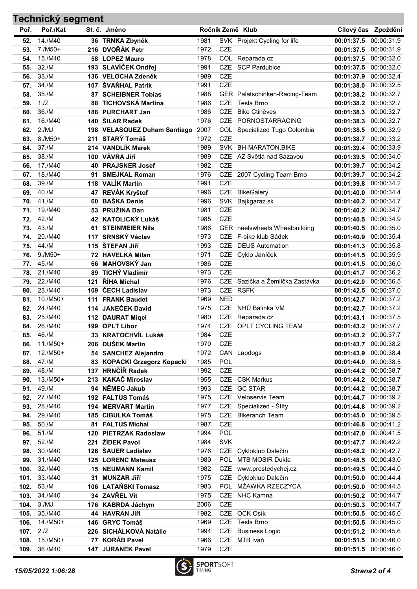## Poř. Poř./Kat St. č. Jméno na na neovin Ročník Země Klub Cílový čas Zpoždění Technický segment 52. 14./M40 36 TRNKA Zbyněk 1981 SVK Projekt Cycling for life 00:01:37.5 00:00:31.9 53. 7./M50+ 216 DVOŘÁK Petr 1972 CZE 00:01:37.5 00:00:31.9 54. 15./M40 58 LOPEZ Mauro 1978 COL Reparada.cz 00:01:37.5 00:00:32.0 55. 32./M 193 SLAVÍČEK Ondřej 1991 CZE SCP Pardubice 00:01:37.5 00:00:32.0 56. 33./M 136 VELOCHA Zdeněk 1989 CZE 00:01:37.9 00:00:32.4 57. 34./M 107 ŠVAŇHAL Patrik 1991 CZE 00:01:38.0 00:01:38.0 00:00:32.5 58. 35./M 87 SCHEIBNER Tobias 1988 GER Palatschinken-Racing-Team 00:01:38.2 00:00:32.7 59. 1./Z 88 TICHOVSKÁ Martina 1986 CZE Tesla Brno 00:01:38.2 00:00:32.7 60. 36./M 188 PURCHART Jan 1986 CZE Bike Ctiněves 00:01:38.3 00:00:32.7

| 61.  | 16./M40            |     | 140 ŠILAR Radek                   | 1976                              |            | CZE PORNOSTARRACING             | 00:01:38.3            | 00:00:32.7            |
|------|--------------------|-----|-----------------------------------|-----------------------------------|------------|---------------------------------|-----------------------|-----------------------|
| 62.  | 2./MJ              |     | 198 VELASQUEZ Duham Santiago 2007 |                                   |            | COL Specialized Tugo Colombia   | 00:01:38.5            | 00:00:32.9            |
| 63.  | $8./M50+$          |     | 211 STARÝ Tomáš                   | 1972                              | <b>CZE</b> |                                 | 00:01:38.7            | 00:00:33.2            |
| 64.  | 37./M              |     | 214 VANDLÍK Marek                 | 1989                              |            | SVK BH-MARATON.BIKE             | 00:01:39.4            | 00:00:33.9            |
| 65.  | 38./M              |     | 100 VÁVRA Jiří                    | 1989                              |            | CZE AZ Světlá nad Sázavou       | 00:01:39.5            | 00:00:34.0            |
| 66.  | 17./M40            |     | <b>40 PRAJSNER Josef</b>          | 1982                              | <b>CZE</b> |                                 | 00:01:39.7            | 00:00:34.2            |
| 67.  | 18./M40            | 91  | <b>SMEJKAL Roman</b>              | 1976                              |            | CZE 2007 Cycling Team Brno      | 00:01:39.7            | 00:00:34.2            |
| 68.  | 39./M              |     | 118 VALÍK Martin                  | 1991                              | <b>CZE</b> |                                 | 00:01:39.8            | 00:00:34.2            |
| 69.  | 40./M              |     | 47 REVÁK Kryštof                  | 1996                              | <b>CZE</b> | <b>BikeGalery</b>               | 00:01:40.0            | 00:00:34.4            |
| 70.  | 41./M              | 60  | <b>BAŠKA Denis</b>                | 1996                              | <b>SVK</b> | Bajkgaraz.sk                    | 00:01:40.2            | 00:00:34.7            |
| 71.  | 19./M40            |     | 53 PRUŽINA Dan                    | 1981                              | <b>CZE</b> |                                 | 00:01:40.2            | 00:00:34.7            |
| 72.  | 42./M              |     | 42 KATOLICKÝ Lukáš                | 1985                              | <b>CZE</b> |                                 | 00:01:40.5            | 00:00:34.9            |
| 73.  | 43./M              |     | <b>61 STEINMEIER Nils</b>         | 1986                              |            | GER neelswheels Wheelbuilding   | 00:01:40.5            | 00:00:35.0            |
| 74.  | 20./M40            |     | 117 SRNSKÝ Václav                 | 1973                              | <b>CZE</b> | F-bike klub Sádek               | 00:01:40.9            | 00:00:35.4            |
| 75.  | 44./M              |     | 115 ŠTEFAN Jiří                   | 1993                              | <b>CZE</b> | <b>DEUS Automation</b>          | 00:01:41.3            | 00:00:35.8            |
| 76.  | $9./M50+$          |     | 72 HAVELKA Milan                  | 1971                              | <b>CZE</b> | Cyklo Janíček                   | 00:01:41.5            | 00:00:35.9            |
| 77.  | 45./M              |     | 66 MAHOVSKÝ Jan                   | 1986                              | <b>CZE</b> |                                 | 00:01:41.5            | 00:00:36.0            |
| 78.  | 21./M40            | 89  | <b>TICHÝ Vladimír</b>             | 1973                              | <b>CZE</b> |                                 | 00:01:41.7            | 00:00:36.2            |
| 79.  | 22./M40            | 121 | ŘÍHA Michal                       | 1976                              |            | CZE Sazička a Žemlička Zastávka | 00:01:42.0            | 00:00:36.5            |
| 80.  | 23./M40            | 109 | ČECH Ladislav                     | 1973                              | CZE        | <b>RSFK</b>                     | 00:01:42.5            | 00:00:37.0            |
| 81.  | $10./M50+$         |     | 111 FRANK Baudet                  | 1969                              | <b>NED</b> |                                 | 00:01:42.7            | 00:00:37.2            |
| 82.  | 24./M40            |     | 114 JANEČEK David                 | 1975                              | <b>CZE</b> | NHÚ Balinka VM                  | 00:01:42.7            | 00:00:37.2            |
| 83.  | 25./M40            |     | 112 DAURAT Migel                  | 1980                              | <b>CZE</b> | Reparada.cz                     | 00:01:43.1            | 00:00:37.5            |
| 84.  | 26./M40            | 199 | <b>OPLT Libor</b>                 | 1974                              | <b>CZE</b> | OPLT CYCLING TEAM               | 00:01:43.2            | 00:00:37.7            |
| 85.  | 46./M              | 33  | <b>KRATOCHVÍL Lukáš</b>           | 1984                              | <b>CZE</b> |                                 | 00:01:43.2            | 00:00:37.7            |
| 86.  | $11./M50+$         | 206 | <b>DUŠEK Martin</b>               | 1970                              | <b>CZE</b> |                                 | 00:01:43.7            | 00:00:38.2            |
| 87.  | $12./M50+$         |     | 54 SANCHEZ Alejandro              | 1972                              |            | CAN Lapdogs                     | 00:01:43.9            | 00:00:38.4            |
| 88.  | 47./M              |     | 83 KOPACKI Grzegorz Kopacki       | 1985                              | <b>POL</b> |                                 | 00:01:44.0            | 00:00:38.5            |
| 89.  | 48./M              | 137 | <b>HRNČÍŘ Radek</b>               | 1992                              | <b>CZE</b> |                                 | 00:01:44.2            | 00:00:38.7            |
| 90.  | $13./M50+$         |     | 213 KAKAČ Miroslav                | 1955                              | <b>CZE</b> | <b>CSK Markus</b>               | 00:01:44.2            | 00:00:38.7            |
| 91.  | 49./M              |     | 94 NĚMEC Jakub                    | 1993                              | <b>CZE</b> | <b>GC STAR</b>                  | 00:01:44.2            | 00:00:38.7            |
| 92.  | 27./M40            |     | 192 FALTUS Tomáš                  | 1975                              | <b>CZE</b> | <b>Veloservis Team</b>          | 00:01:44.7            | 00:00:39.2            |
| 93.  | 28./M40            |     | 194 MERVART Martin                | 1977                              | <b>CZE</b> | Specialized - Štíty             | 00:01:44.8            | 00:00:39.2            |
| 94.  | 29./M40            |     | 185 CIBULKA Tomáš                 | 1975                              |            | CZE Bikeranch Team              | 00:01:45.0            | 00:00:39.5            |
| 95.  | 50./M              |     | 81 FALTUS Michal                  | 1987                              | <b>CZE</b> |                                 | 00:01:46.8            | 00:00:41.2            |
| 96.  | 51./M              |     | 120 PIETRZAK Radoslaw             | 1994                              | <b>POL</b> |                                 | 00:01:47.0            | 00:00:41.5            |
| 97.  | 52./M              |     | 221 ŽÍDEK Pavol                   | 1984                              | <b>SVK</b> |                                 | 00:01:47.7            | 00:00:42.2            |
| 98.  | 30./M40            |     | 126 ŠAUER Ladislav                | 1976                              |            | CZE Cykloklub Dalečín           |                       | 00:01:48.2 00:00:42.7 |
| 99.  | 31./M40            |     | 125 LORENC Mateusz                | 1980                              | <b>POL</b> | MTB MOSIR Dukla                 | 00:01:48.5 00:00:43.0 |                       |
| 100. | 32./M40            |     | <b>15 NEUMANN Kamil</b>           | 1982                              | <b>CZE</b> | www.prostedychej.cz             | 00:01:49.5            | 00:00:44.0            |
| 101. | 33./M40            |     | 31 MUNZAR Jiří                    | 1975                              | <b>CZE</b> | Cykloklub Dalečín               | 00:01:50.0            | 00:00:44.4            |
| 102. | 53./M              |     | 106 LATAŃSKI Tomasz               | 1983                              |            | POL MŻAWKA RZECZYCA             | 00:01:50.0            | 00:00:44.5            |
| 103. | 34./M40            |     | 34 ZAVŘEL Vít                     | 1975                              | <b>CZE</b> | <b>NHC Kamna</b>                | 00:01:50.2            | 00:00:44.7            |
| 104. | 3./MJ              |     | 176 KABRDA Jáchym                 | 2006                              | <b>CZE</b> |                                 |                       | 00:01:50.3 00:00:44.7 |
| 105. | 35./M40            |     | 44 HAVRAN Jiří                    | 1982                              | CZE        | OCK Osík                        | 00:01:50.5 00:00:45.0 |                       |
| 106. | 14./M50+           |     | 146 GRYC Tomáš                    | 1969                              | <b>CZE</b> | Tesla Brno                      | 00:01:50.5 00:00:45.0 |                       |
| 107. | 2.IZ               |     | 226 SICHÁLKOVÁ Natálie            | 1994                              | CZE        | <b>Business Logic</b>           | 00:01:51.2            | 00:00:45.6            |
| 108. | 15./M50+           | 77  | <b>KORÁB Pavel</b>                | 1966                              | CZE        | MTB Ivaň                        | 00:01:51.5            | 00:00:46.0            |
| 109. | 36./M40            |     | <b>147 JURANEK Pavel</b>          | 1979                              | CZE        |                                 | 00:01:51.5            | 00:00:46.0            |
|      | 15/05/2022 1:06:28 |     |                                   | <b>SPORTSOFT</b><br><b>TIMING</b> |            |                                 |                       | Strana2 of 4          |

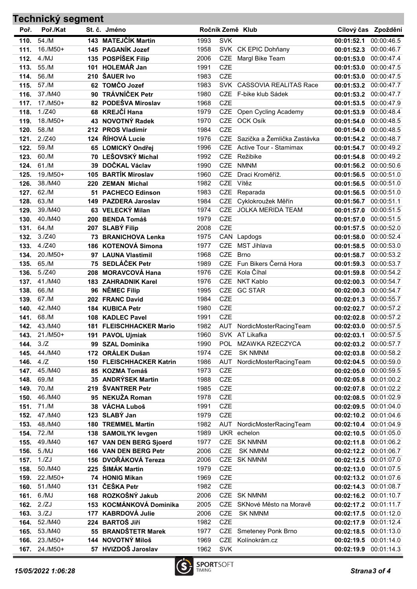| Technický segment |                    |            |                                        |              |                          |                                      |                                     |                          |
|-------------------|--------------------|------------|----------------------------------------|--------------|--------------------------|--------------------------------------|-------------------------------------|--------------------------|
| Poř.              | Poř./Kat           |            | St. č. Jméno                           |              |                          | Ročník Země Klub                     |                                     | Cílový čas Zpoždění      |
| 110.              | 54./M              |            | 143 MATEJČÍK Martin                    | 1993         | <b>SVK</b>               |                                      | 00:01:52.1                          | 00:00:46.5               |
| 111.              | 16./M50+           |            | 145 PAGANÍK Jozef                      | 1958         |                          | SVK CK EPIC Dohňany                  | 00:01:52.3                          | 00:00:46.7               |
| 112.              | 4./MJ              |            | 135 POSPÍŠEK Filip                     | 2006         | <b>CZE</b>               | Margl Bike Team                      | 00:01:53.0                          | 00:00:47.4               |
| 113.              | 55./M              |            | 101 HOLEMÁŘ Jan                        | 1991         | <b>CZE</b>               |                                      | 00:01:53.0                          | 00:00:47.5               |
| 114.              | 56./M              |            | 210 ŠAUER Ivo                          | 1983         | <b>CZE</b>               |                                      | 00:01:53.0                          | 00:00:47.5               |
| 115.              | 57./M              |            | 62 TOMČO Jozef                         | 1983         |                          | SVK CASSOVIA REALITAS Race           | 00:01:53.2                          | 00:00:47.7               |
| 116.              | 37./M40            |            | 90 TRÁVNÍČEK Petr                      | 1980         | <b>CZE</b>               | F-bike klub Sádek                    | 00:01:53.2                          | 00:00:47.7               |
| 117.              | 17./M50+           |            | 82 PODEŠVA Miroslav                    | 1968         | <b>CZE</b>               |                                      | 00:01:53.5                          | 00:00:47.9               |
| 118.              | 1./Z40             |            | 68 KREJČÍ Hana                         | 1979         |                          | CZE Open Cycling Academy             | 00:01:53.9                          | 00:00:48.4               |
| 119.              | $18./M50+$         |            | 43 NOVOTNÝ Radek                       | 1970         |                          | CZE OCK Osík                         | 00:01:54.0                          | 00:00:48.5               |
| 120.              | 58./M              |            | 212 PROS Vladimír                      | 1984         | <b>CZE</b>               |                                      | 00:01:54.0                          | 00:00:48.5               |
| 121.              | 2./Z40             |            | 124 ŘÍHOVÁ Lucie                       | 1976         | <b>CZE</b>               | Sazička a Žemlička Zastávka          | 00:01:54.2                          | 00:00:48.7               |
| 122.              | 59./M              |            | 65 LOMICKÝ Ondřej                      | 1996         | <b>CZE</b>               | <b>Active Tour - Stamimax</b>        | 00:01:54.7                          | 00:00:49.2               |
| 123.              | 60./M              | 70         | <b>LEŠOVSKÝ Michal</b>                 | 1992         | <b>CZE</b>               | Režibike                             | 00:01:54.8                          | 00:00:49.2               |
| 124.              | 61./M              | 39         | DOČKAL Václav                          | 1990         | <b>CZE</b>               | <b>NMNM</b>                          | 00:01:56.2                          | 00:00:50.6               |
| 125.              | 19./M50+           | 105        | <b>BARTÍK Miroslav</b>                 | 1960         | <b>CZE</b>               | Draci Kroměříž.                      | 00:01:56.5                          | 00:00:51.0               |
| 126.              | 38./M40            |            | 220 ZEMAN Michal                       | 1982         |                          | CZE Vítěz                            | 00:01:56.5                          | 00:00:51.0               |
| 127.              | 62./M              |            | 51 PACHECO Edinson                     | 1983         | <b>CZE</b>               | Reparada                             | 00:01:56.5                          | 00:00:51.0               |
| 128.              | 63./M              |            | 149 PAZDERA Jaroslav                   | 1984         | <b>CZE</b>               | Cyklokroužek Měřín                   | 00:01:56.7                          | 00:00:51.1               |
| 129.              | 39./M40            |            | 63 VELECKÝ Milan                       | 1974         | <b>CZE</b>               | <b>JOLKA MERIDA TEAM</b>             | 00:01:57.0                          | 00:00:51.5               |
| 130.              | 40./M40            |            | 200 BENDA Tomáš                        | 1979         | <b>CZE</b>               |                                      | 00:01:57.0                          | 00:00:51.5               |
| 131.              | 64./M              |            | 207 SLABÝ Filip                        | 2008         | <b>CZE</b>               |                                      | 00:01:57.5                          | 00:00:52.0               |
| 132.              | 3./Z40             |            | 73 BRANICHOVA Lenka                    | 1975         |                          | CAN Lapdogs                          | 00:01:58.0                          | 00:00:52.4               |
| 133.              | 4./Z40<br>20./M50+ | 186        | <b>KOTENOVÁ Simona</b>                 | 1977         | <b>CZE</b>               | <b>MST Jihlava</b>                   | 00:01:58.5                          | 00:00:53.0               |
| 134.              | 65./M              |            | 97 LAUNA Vlastimil<br>75 SEDLÁČEK Petr | 1968         | <b>CZE</b><br><b>CZE</b> | <b>Brno</b><br>Fun Bikers Černá Hora | 00:01:58.7                          | 00:00:53.2               |
| 135.<br>136.      | 5./Z40             |            | <b>MORAVCOVÁ Hana</b>                  | 1989<br>1976 | <b>CZE</b>               | Kola Číhal                           | 00:01:59.3                          | 00:00:53.7<br>00:00:54.2 |
| 137.              | 41./M40            | 208<br>183 | <b>ZAHRADNIK Karel</b>                 | 1976         | <b>CZE</b>               | <b>NKT Kablo</b>                     | 00:01:59.8<br>00:02:00.3            | 00:00:54.7               |
| 138.              | 66./M              | 96         | <b>NĚMEC Filip</b>                     | 1995         |                          | CZE GC STAR                          | 00:02:00.3                          | 00:00:54.7               |
| 139.              | 67./M              |            | 202 FRANC David                        | 1984         | <b>CZE</b>               |                                      | 00:02:01.3                          | 00:00:55.7               |
| 140.              | 42./M40            |            | 184 KUBICA Petr                        | 1980         | <b>CZE</b>               |                                      | 00:02:02.7                          | 00:00:57.2               |
| 141.              | 68./M              |            | 108 KADLEC Pavel                       | 1991         | <b>CZE</b>               |                                      | 00:02:02.8                          | 00:00:57.2               |
| 142.              | 43./M40            |            | 181 FLEISCHHACKER Mario                | 1982         |                          | AUT NordicMosterRacingTeam           | 00:02:03.0 00:00:57.5               |                          |
|                   | 143. 21./M50+      |            | 191 PAVOL Ujmiak                       | 1960         |                          | SVK AT Likafka                       | 00:02:03.1 00:00:57.5               |                          |
| 144.              | 3 <sub>1</sub> Z   |            | 99 SZAL Dominika                       | 1990         |                          | POL MZAWKA RZECZYCA                  | 00:02:03.2 00:00:57.7               |                          |
| 145.              | 44./M40            |            | 172 ORÁLEK Dušan                       | 1974         | <b>CZE</b>               | <b>SK NMNM</b>                       | 00:02:03.8                          | 00:00:58.2               |
| 146.              | 4.IZ               |            | 150 FLEISCHHACKER Katrin               | 1986         | AUT                      | NordicMosterRacingTeam               | 00:02:04.5                          | 00:00:59.0               |
| 147.              | 45./M40            |            | 85 KOZMA Tomáš                         | 1973         | <b>CZE</b>               |                                      | 00:02:05.0                          | 00:00:59.5               |
| 148.              | 69./M              |            | 35 ANDRÝSEK Martin                     | 1988         | CZE                      |                                      | 00:02:05.8                          | 00:01:00.2               |
| 149.              | 70./M              |            | 219 ŠVANTRER Petr                      | 1985         | CZE                      |                                      | 00:02:07.8                          | 00:01:02.2               |
| 150.              | 46./M40            |            | 95 NEKUŽA Roman                        | 1978         | CZE                      |                                      | 00:02:08.5                          | 00:01:02.9               |
| 151.              | 71./M              |            | 38 VÁCHA Luboš                         | 1991         | CZE                      |                                      | 00:02:09.5 00:01:04.0               |                          |
| 152.              | 47./M40            |            | 123 SLABÝ Jan                          | 1979         | CZE                      |                                      | 00:02:10.2 00:01:04.6               |                          |
| 153.              | 48./M40            |            | <b>180 TREMMEL Martin</b>              | 1982         | AUT                      | NordicMosterRacingTeam               | 00:02:10.4                          | 00:01:04.9               |
| 154.              | 72./M              |            | 138 SAMOILYK levgen                    | 1989         |                          | UKR echelon                          | 00:02:10.5                          | 00:01:05.0               |
| 155.              | 49./M40            |            | 167 VAN DEN BERG Sjoerd                | 1977         |                          | CZE SK NMNM                          | 00:02:11.8                          | 00:01:06.2               |
| 156.              | 5./MJ              |            | 166 VAN DEN BERG Petr                  | 2006         | <b>CZE</b>               | <b>SK NMNM</b>                       | 00:02:12.2                          | 00:01:06.7               |
| 157.              | 1./ZJ              |            | 156 DVOŘÁKOVÁ Tereza                   | 2006         |                          | CZE SK NMNM                          | 00:02:12.5                          | 00:01:07.0               |
| 158.              | 50./M40            |            | 225 ŠIMÁK Martin                       | 1979         | CZE                      |                                      | 00:02:13.0 00:01:07.5               |                          |
| 159.              | 22./M50+           |            | 74 HONIG Mikan                         | 1969         | CZE                      |                                      | 00:02:13.2 00:01:07.6               |                          |
| 160.              | 51./M40            |            | 131 ČEŠKA Petr                         | 1982         | <b>CZE</b>               |                                      | 00:02:14.3 00:01:08.7               |                          |
| 161.              | 6./MJ              |            | 168 ROZKOŠNÝ Jakub                     | 2006         |                          | CZE SK NMNM                          | 00:02:16.2                          | 00:01:10.7               |
| 162.              | 2./ZJ              |            | 153 KOCMÁNKOVÁ Dominika                | 2005         |                          | CZE SKNové Město na Moravě           | 00:02:17.2                          | 00:01:11.7               |
| 163.              | 3./ZJ              |            | 177 KABRDOVÁ Julie<br>224 BARTOŠ Jiří  | 2006         | <b>CZE</b><br>CZE        | <b>SK NMNM</b>                       | 00:02:17.5                          | 00:01:12.0               |
| 164.<br>165.      | 52./M40<br>53./M40 |            | 55 BRANDŠTETR Marek                    | 1982<br>1977 |                          | CZE Smeteney Ponk Brno               | 00:02:17.9                          | 00:01:12.4<br>00:01:13.0 |
| 166.              | 23./M50+           |            | 144 NOVOTNÝ Miloš                      | 1969         |                          | CZE Kolínokrám.cz                    | 00:02:18.5<br>00:02:19.5 00:01:14.0 |                          |
| 167.              | 24./M50+           |            | 57 HVIZDOŠ Jaroslav                    | 1962         | <b>SVK</b>               |                                      | 00:02:19.9 00:01:14.3               |                          |
|                   |                    |            |                                        |              |                          |                                      |                                     |                          |